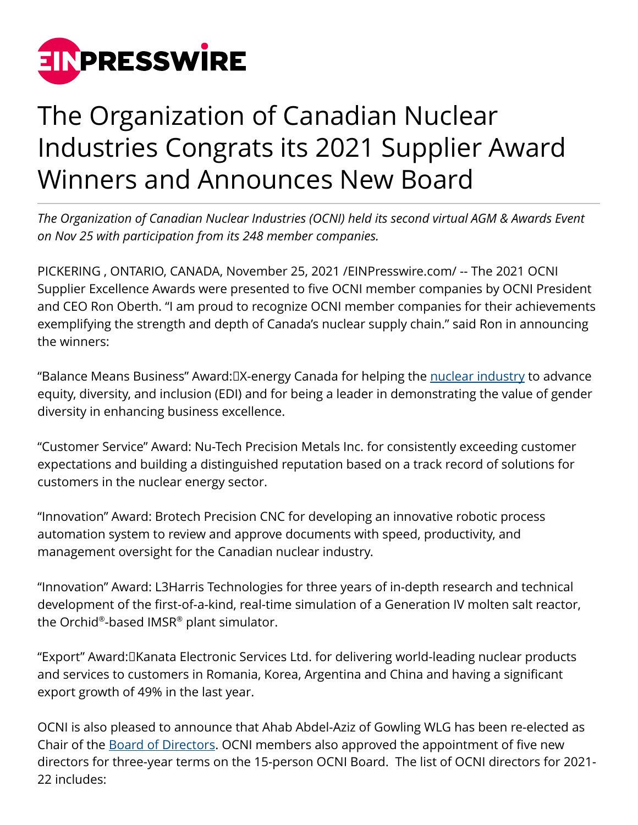

## The Organization of Canadian Nuclear Industries Congrats its 2021 Supplier Award Winners and Announces New Board

*The Organization of Canadian Nuclear Industries (OCNI) held its second virtual AGM & Awards Event on Nov 25 with participation from its 248 member companies.*

PICKERING , ONTARIO, CANADA, November 25, 2021 /[EINPresswire.com/](http://www.einpresswire.com) -- The 2021 OCNI Supplier Excellence Awards were presented to five OCNI member companies by OCNI President and CEO Ron Oberth. "I am proud to recognize OCNI member companies for their achievements exemplifying the strength and depth of Canada's nuclear supply chain." said Ron in announcing the winners:

"Balance Means Business" Award:□X-energy Canada for helping the <u>nuclear industry</u> to advance equity, diversity, and inclusion (EDI) and for being a leader in demonstrating the value of gender diversity in enhancing business excellence.

"Customer Service" Award: Nu-Tech Precision Metals Inc. for consistently exceeding customer expectations and building a distinguished reputation based on a track record of solutions for customers in the nuclear energy sector.

"Innovation" Award: Brotech Precision CNC for developing an innovative robotic process automation system to review and approve documents with speed, productivity, and management oversight for the Canadian nuclear industry.

"Innovation" Award: L3Harris Technologies for three years of in-depth research and technical development of the first-of-a-kind, real-time simulation of a Generation IV molten salt reactor, the Orchid® -based IMSR® plant simulator.

"Export" Award: Kanata Electronic Services Ltd. for delivering world-leading nuclear products and services to customers in Romania, Korea, Argentina and China and having a significant export growth of 49% in the last year.

OCNI is also pleased to announce that Ahab Abdel-Aziz of Gowling WLG has been re-elected as Chair of the [Board of Directors.](http://www.ocni.ca) OCNI members also approved the appointment of five new directors for three-year terms on the 15-person OCNI Board. The list of OCNI directors for 2021- 22 includes: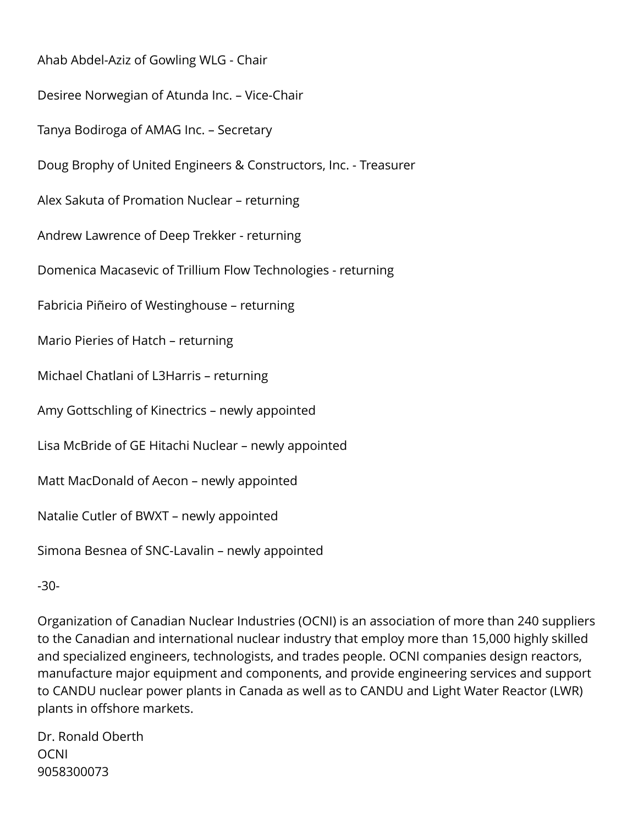Ahab Abdel-Aziz of Gowling WLG - Chair Desiree Norwegian of Atunda Inc. – Vice-Chair Tanya Bodiroga of AMAG Inc. – Secretary Doug Brophy of United Engineers & Constructors, Inc. - Treasurer Alex Sakuta of Promation Nuclear – returning Andrew Lawrence of Deep Trekker - returning Domenica Macasevic of Trillium Flow Technologies - returning Fabricia Piñeiro of Westinghouse – returning Mario Pieries of Hatch – returning Michael Chatlani of L3Harris – returning Amy Gottschling of Kinectrics – newly appointed Lisa McBride of GE Hitachi Nuclear – newly appointed Matt MacDonald of Aecon – newly appointed Natalie Cutler of BWXT – newly appointed Simona Besnea of SNC-Lavalin – newly appointed

-30-

Organization of Canadian Nuclear Industries (OCNI) is an association of more than 240 suppliers to the Canadian and international nuclear industry that employ more than 15,000 highly skilled and specialized engineers, technologists, and trades people. OCNI companies design reactors, manufacture major equipment and components, and provide engineering services and support to CANDU nuclear power plants in Canada as well as to CANDU and Light Water Reactor (LWR) plants in offshore markets.

Dr. Ronald Oberth **OCNI** 9058300073